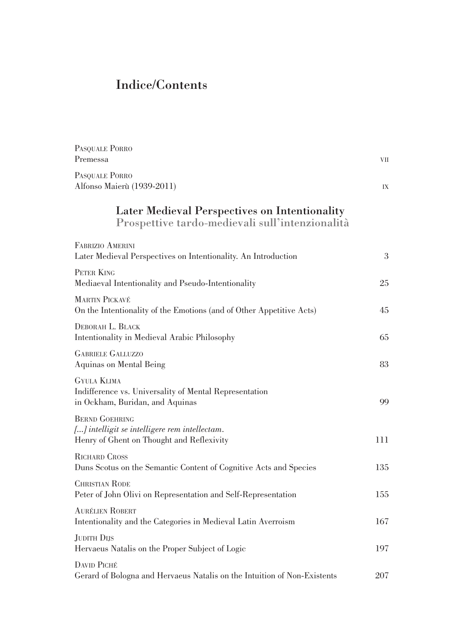## Indice/Contents

| PASQUALE PORRO                                                                                   |    |
|--------------------------------------------------------------------------------------------------|----|
| Premessa                                                                                         | VН |
| PASQUALE PORRO                                                                                   |    |
| Alfonso Maierù (1939-2011)                                                                       | IX |
| Later Medieval Perspectives on Intentionality<br>Prospettive tardo-medievali sull'intenzionalità |    |

| <b>FABRIZIO AMERINI</b><br>Later Medieval Perspectives on Intentionality. An Introduction                           | 3   |
|---------------------------------------------------------------------------------------------------------------------|-----|
| PETER KING<br>Mediaeval Intentionality and Pseudo-Intentionality                                                    | 25  |
| <b>MARTIN PICKAVÉ</b><br>On the Intentionality of the Emotions (and of Other Appetitive Acts)                       | 45  |
| DEBORAH L. BLACK<br>Intentionality in Medieval Arabic Philosophy                                                    | 65  |
| <b>GABRIELE GALLUZZO</b><br>Aquinas on Mental Being                                                                 | 83  |
| <b>GYULA KLIMA</b><br>Indifference vs. Universality of Mental Representation<br>in Ockham, Buridan, and Aquinas     | 99  |
| <b>BERND GOEHRING</b><br>[] intelligit se intelligere rem intellectam.<br>Henry of Ghent on Thought and Reflexivity | 111 |
| <b>RICHARD CROSS</b><br>Duns Scotus on the Semantic Content of Cognitive Acts and Species                           | 135 |
| <b>CHRISTIAN RODE</b><br>Peter of John Olivi on Representation and Self-Representation                              | 155 |
| <b>AURÉLIEN ROBERT</b><br>Intentionality and the Categories in Medieval Latin Averroism                             | 167 |
| <b>JUDITH DIJS</b><br>Hervaeus Natalis on the Proper Subject of Logic                                               | 197 |
| <b>DAVID PICHÉ</b><br>Gerard of Bologna and Hervaeus Natalis on the Intuition of Non-Existents                      | 207 |